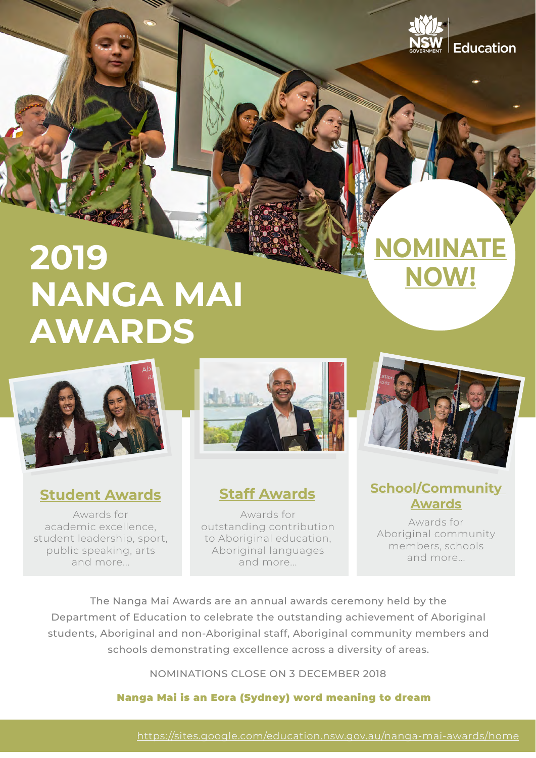



Awards for academic excellence, student leadership, sport, public speaking, arts and more...



Awards for outstanding contribution to Aboriginal education, Aboriginal languages and more...



**[NOMINATE](https://sites.google.com/education.nsw.gov.au/nanga-mai-awards/home)** 

**[NOW!](https://sites.google.com/education.nsw.gov.au/nanga-mai-awards/home)**

### **[Student Awards](https://sites.google.com/education.nsw.gov.au/nanga-mai-awards/student-awards) [Staff Awards](https://sites.google.com/education.nsw.gov.au/nanga-mai-awards/staff-awards) [School/Community](https://sites.google.com/education.nsw.gov.au/nanga-mai-awards/schoolcommunity-awards)  [Awards](https://sites.google.com/education.nsw.gov.au/nanga-mai-awards/schoolcommunity-awards)**

Awards for Aboriginal community members, schools and more...

The Nanga Mai Awards are an annual awards ceremony held by the Department of Education to celebrate the outstanding achievement of Aboriginal students, Aboriginal and non-Aboriginal staff, Aboriginal community members and schools demonstrating excellence across a diversity of areas.

NOMINATIONS CLOSE ON 3 DECEMBER 2018

### Nanga Mai is an Eora (Sydney) word meaning to dream

<https://sites.google.com/education.nsw.gov.au/nanga-mai-awards/home>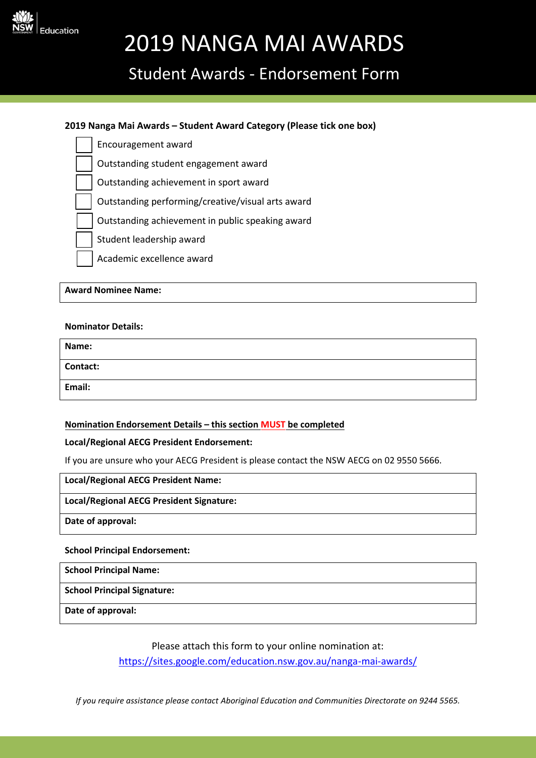

## Student Awards - Endorsement Form

#### **2019 Nanga Mai Awards – Student Award Category (Please tick one box)**

- Encouragement award
- Outstanding student engagement award
- Outstanding achievement in sport award
- Outstanding performing/creative/visual arts award
- Outstanding achievement in public speaking award
- Student leadership award
- Academic excellence award

**Award Nominee Name:**

#### **Nominator Details:**

| Name:           |  |
|-----------------|--|
| <b>Contact:</b> |  |
| Email:          |  |

#### **Nomination Endorsement Details – this section MUST be completed**

#### **Local/Regional AECG President Endorsement:**

If you are unsure who your AECG President is please contact the NSW AECG on 02 9550 5666.

#### **Local/Regional AECG President Name:**

#### **Local/Regional AECG President Signature:**

**Date of approval:**

#### **School Principal Endorsement:**

**School Principal Name:**

**School Principal Signature:**

**Date of approval:**

Please attach this form to your online nomination at:

<https://sites.google.com/education.nsw.gov.au/nanga-mai-awards/>

*If you require assistance please contact Aboriginal Education and Communities Directorate on 9244 5565.*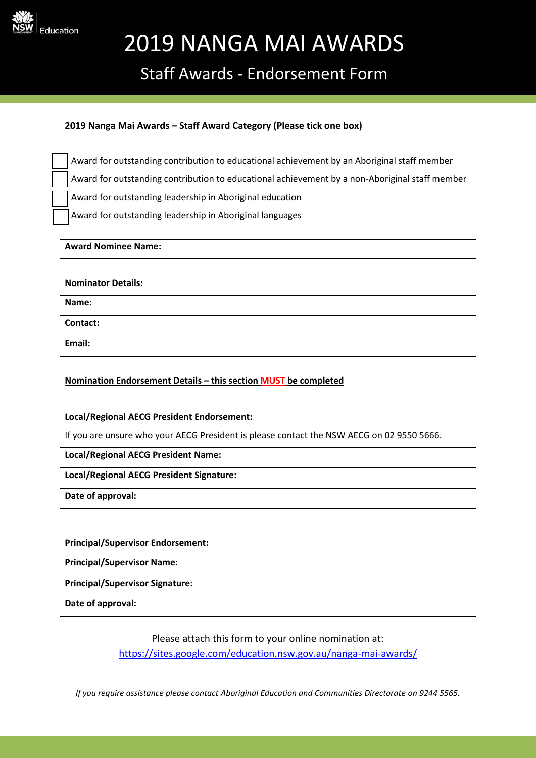

### Staff Awards - Endorsement Form

#### **2019 Nanga Mai Awards – Staff Award Category (Please tick one box)**

Award for outstanding contribution to educational achievement by an Aboriginal staff member Award for outstanding contribution to educational achievement by a non-Aboriginal staff member Award for outstanding leadership in Aboriginal education

Award for outstanding leadership in Aboriginal languages

#### **Award Nominee Name:**

#### **Nominator Details:**

| Name:    |  |
|----------|--|
| Contact: |  |
| Email:   |  |

#### **Nomination Endorsement Details – this section MUST be completed**

#### **Local/Regional AECG President Endorsement:**

If you are unsure who your AECG President is please contact the NSW AECG on 02 9550 5666.

#### **Local/Regional AECG President Name:**

#### **Local/Regional AECG President Signature:**

**Date of approval:**

#### **Principal/Supervisor Endorsement:**

**Principal/Supervisor Name:**

**Principal/Supervisor Signature:**

**Date of approval:**

Please attach this form to your online nomination at:

<https://sites.google.com/education.nsw.gov.au/nanga-mai-awards/>

*If you require assistance please contact Aboriginal Education and Communities Directorate on 9244 5565.*